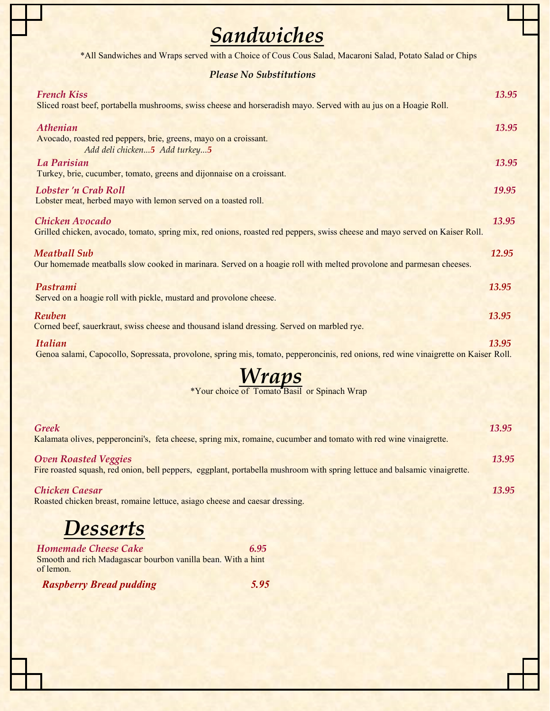## *Sandwiches*

\*All Sandwiches and Wraps served with a Choice of Cous Cous Salad, Macaroni Salad, Potato Salad or Chips

## *Please No Substitutions*

| <b>French Kiss</b><br>Sliced roast beef, portabella mushrooms, swiss cheese and horseradish mayo. Served with au jus on a Hoagie Roll.                | 13.95 |
|-------------------------------------------------------------------------------------------------------------------------------------------------------|-------|
| Athenian<br>Avocado, roasted red peppers, brie, greens, mayo on a croissant.<br>Add deli chicken5 Add turkey5                                         | 13.95 |
| La Parisian<br>Turkey, brie, cucumber, tomato, greens and dijonnaise on a croissant.                                                                  | 13.95 |
| Lobster 'n Crab Roll<br>Lobster meat, herbed mayo with lemon served on a toasted roll.                                                                | 19.95 |
| Chicken Avocado<br>Grilled chicken, avocado, tomato, spring mix, red onions, roasted red peppers, swiss cheese and mayo served on Kaiser Roll.        | 13.95 |
| <b>Meatball Sub</b><br>Our homemade meatballs slow cooked in marinara. Served on a hoagie roll with melted provolone and parmesan cheeses.            | 12.95 |
| Pastrami<br>Served on a hoagie roll with pickle, mustard and provolone cheese.                                                                        | 13.95 |
| Reuben<br>Corned beef, sauerkraut, swiss cheese and thousand island dressing. Served on marbled rye.                                                  | 13.95 |
| <b>Italian</b><br>Genoa salami, Capocollo, Sopressata, provolone, spring mis, tomato, pepperoncinis, red onions, red wine vinaigrette on Kaiser Roll. | 13.95 |

| <b>Wraps</b><br>*Your choice of Tomato Basil or Spinach Wrap                                                                                             |       |
|----------------------------------------------------------------------------------------------------------------------------------------------------------|-------|
| <b>Greek</b><br>Kalamata olives, pepperoncini's, feta cheese, spring mix, romaine, cucumber and tomato with red wine vinaigrette.                        | 13.95 |
| <b>Oven Roasted Veggies</b><br>Fire roasted squash, red onion, bell peppers, eggplant, portabella mushroom with spring lettuce and balsamic vinaigrette. | 13.95 |
| <b>Chicken Caesar</b><br>Roasted chicken breast, romaine lettuce, asiago cheese and caesar dressing.                                                     | 13.95 |

## *Desserts*

*Homemade Cheese Cake* 6.95 Smooth and rich Madagascar bourbon vanilla bean. With a hint of lemon.

*Raspberry Bread pudding 5.95*